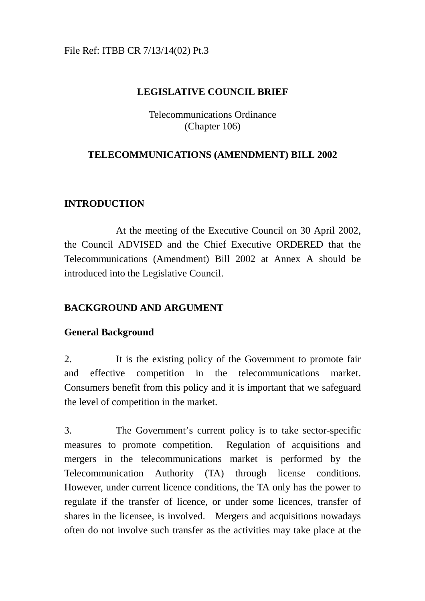## File Ref: ITBB CR 7/13/14(02) Pt.3

## **LEGISLATIVE COUNCIL BRIEF**

Telecommunications Ordinance (Chapter 106)

## **TELECOMMUNICATIONS (AMENDMENT) BILL 2002**

## **INTRODUCTION**

At the meeting of the Executive Council on 30 April 2002, the Council ADVISED and the Chief Executive ORDERED that the Telecommunications (Amendment) Bill 2002 at Annex A should be introduced into the Legislative Council.

## **BACKGROUND AND ARGUMENT**

## **General Background**

2. It is the existing policy of the Government to promote fair and effective competition in the telecommunications market. Consumers benefit from this policy and it is important that we safeguard the level of competition in the market.

3. The Government's current policy is to take sector-specific measures to promote competition. Regulation of acquisitions and mergers in the telecommunications market is performed by the Telecommunication Authority (TA) through license conditions. However, under current licence conditions, the TA only has the power to regulate if the transfer of licence, or under some licences, transfer of shares in the licensee, is involved. Mergers and acquisitions nowadays often do not involve such transfer as the activities may take place at the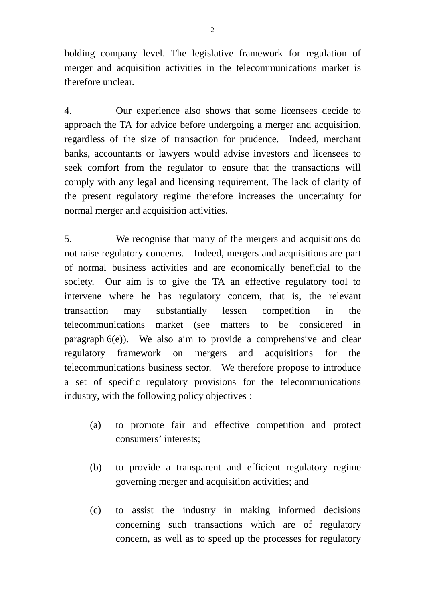holding company level. The legislative framework for regulation of merger and acquisition activities in the telecommunications market is therefore unclear.

4. Our experience also shows that some licensees decide to approach the TA for advice before undergoing a merger and acquisition, regardless of the size of transaction for prudence. Indeed, merchant banks, accountants or lawyers would advise investors and licensees to seek comfort from the regulator to ensure that the transactions will comply with any legal and licensing requirement. The lack of clarity of the present regulatory regime therefore increases the uncertainty for normal merger and acquisition activities.

5. We recognise that many of the mergers and acquisitions do not raise regulatory concerns. Indeed, mergers and acquisitions are part of normal business activities and are economically beneficial to the society. Our aim is to give the TA an effective regulatory tool to intervene where he has regulatory concern, that is, the relevant transaction may substantially lessen competition in the telecommunications market (see matters to be considered in paragraph 6(e)). We also aim to provide a comprehensive and clear regulatory framework on mergers and acquisitions for the telecommunications business sector. We therefore propose to introduce a set of specific regulatory provisions for the telecommunications industry, with the following policy objectives :

- (a) to promote fair and effective competition and protect consumers' interests;
- (b) to provide a transparent and efficient regulatory regime governing merger and acquisition activities; and
- (c) to assist the industry in making informed decisions concerning such transactions which are of regulatory concern, as well as to speed up the processes for regulatory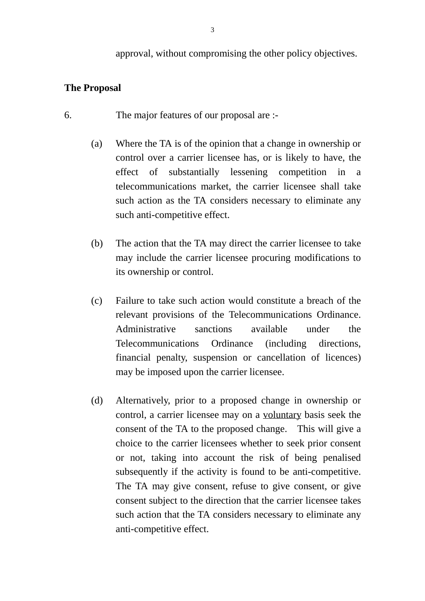approval, without compromising the other policy objectives.

### **The Proposal**

- 6. The major features of our proposal are :-
	- (a) Where the TA is of the opinion that a change in ownership or control over a carrier licensee has, or is likely to have, the effect of substantially lessening competition in a telecommunications market, the carrier licensee shall take such action as the TA considers necessary to eliminate any such anti-competitive effect.
	- (b) The action that the TA may direct the carrier licensee to take may include the carrier licensee procuring modifications to its ownership or control.
	- (c) Failure to take such action would constitute a breach of the relevant provisions of the Telecommunications Ordinance. Administrative sanctions available under the Telecommunications Ordinance (including directions, financial penalty, suspension or cancellation of licences) may be imposed upon the carrier licensee.
	- (d) Alternatively, prior to a proposed change in ownership or control, a carrier licensee may on a voluntary basis seek the consent of the TA to the proposed change. This will give a choice to the carrier licensees whether to seek prior consent or not, taking into account the risk of being penalised subsequently if the activity is found to be anti-competitive. The TA may give consent, refuse to give consent, or give consent subject to the direction that the carrier licensee takes such action that the TA considers necessary to eliminate any anti-competitive effect.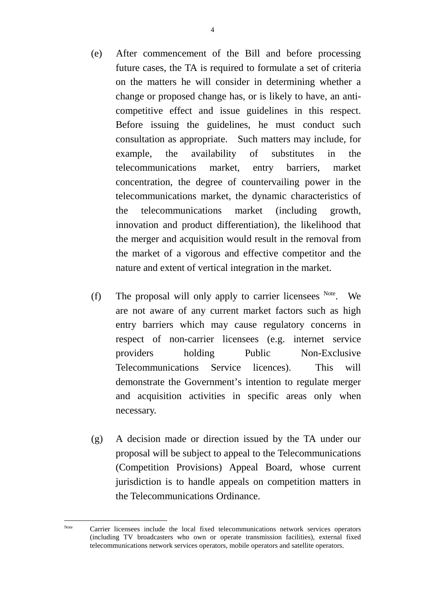- (e) After commencement of the Bill and before processing future cases, the TA is required to formulate a set of criteria on the matters he will consider in determining whether a change or proposed change has, or is likely to have, an anticompetitive effect and issue guidelines in this respect. Before issuing the guidelines, he must conduct such consultation as appropriate. Such matters may include, for example, the availability of substitutes in the telecommunications market, entry barriers, market concentration, the degree of countervailing power in the telecommunications market, the dynamic characteristics of the telecommunications market (including growth, innovation and product differentiation), the likelihood that the merger and acquisition would result in the removal from the market of a vigorous and effective competitor and the nature and extent of vertical integration in the market.
- (f) The proposal will only apply to carrier licensees  $N_{\text{ote}}$ . We are not aware of any current market factors such as high entry barriers which may cause regulatory concerns in respect of non-carrier licensees (e.g. internet service providers holding Public Non-Exclusive Telecommunications Service licences). This will demonstrate the Government's intention to regulate merger and acquisition activities in specific areas only when necessary.
- (g) A decision made or direction issued by the TA under our proposal will be subject to appeal to the Telecommunications (Competition Provisions) Appeal Board, whose current jurisdiction is to handle appeals on competition matters in the Telecommunications Ordinance.

Note Carrier licensees include the local fixed telecommunications network services operators (including TV broadcasters who own or operate transmission facilities), external fixed telecommunications network services operators, mobile operators and satellite operators.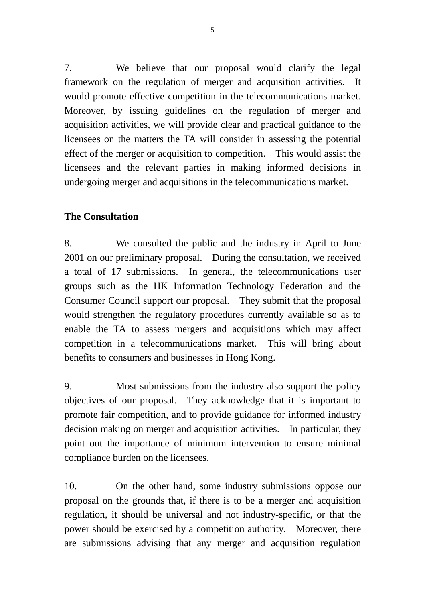7. We believe that our proposal would clarify the legal framework on the regulation of merger and acquisition activities. It would promote effective competition in the telecommunications market. Moreover, by issuing guidelines on the regulation of merger and acquisition activities, we will provide clear and practical guidance to the licensees on the matters the TA will consider in assessing the potential effect of the merger or acquisition to competition. This would assist the licensees and the relevant parties in making informed decisions in undergoing merger and acquisitions in the telecommunications market.

## **The Consultation**

8. We consulted the public and the industry in April to June 2001 on our preliminary proposal. During the consultation, we received a total of 17 submissions. In general, the telecommunications user groups such as the HK Information Technology Federation and the Consumer Council support our proposal. They submit that the proposal would strengthen the regulatory procedures currently available so as to enable the TA to assess mergers and acquisitions which may affect competition in a telecommunications market. This will bring about benefits to consumers and businesses in Hong Kong.

9. Most submissions from the industry also support the policy objectives of our proposal. They acknowledge that it is important to promote fair competition, and to provide guidance for informed industry decision making on merger and acquisition activities. In particular, they point out the importance of minimum intervention to ensure minimal compliance burden on the licensees.

10. On the other hand, some industry submissions oppose our proposal on the grounds that, if there is to be a merger and acquisition regulation, it should be universal and not industry-specific, or that the power should be exercised by a competition authority. Moreover, there are submissions advising that any merger and acquisition regulation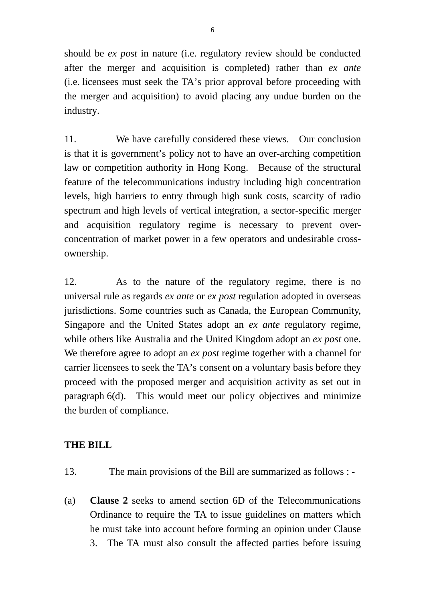should be *ex post* in nature (i.e. regulatory review should be conducted after the merger and acquisition is completed) rather than *ex ante* (i.e. licensees must seek the TA's prior approval before proceeding with the merger and acquisition) to avoid placing any undue burden on the industry.

11. We have carefully considered these views. Our conclusion is that it is government's policy not to have an over-arching competition law or competition authority in Hong Kong. Because of the structural feature of the telecommunications industry including high concentration levels, high barriers to entry through high sunk costs, scarcity of radio spectrum and high levels of vertical integration, a sector-specific merger and acquisition regulatory regime is necessary to prevent overconcentration of market power in a few operators and undesirable crossownership.

12. As to the nature of the regulatory regime, there is no universal rule as regards *ex ante* or *ex post* regulation adopted in overseas jurisdictions. Some countries such as Canada, the European Community, Singapore and the United States adopt an *ex ante* regulatory regime, while others like Australia and the United Kingdom adopt an *ex post* one. We therefore agree to adopt an *ex post* regime together with a channel for carrier licensees to seek the TA's consent on a voluntary basis before they proceed with the proposed merger and acquisition activity as set out in paragraph 6(d). This would meet our policy objectives and minimize the burden of compliance.

## **THE BILL**

- 13. The main provisions of the Bill are summarized as follows : -
- (a) **Clause 2** seeks to amend section 6D of the Telecommunications Ordinance to require the TA to issue guidelines on matters which he must take into account before forming an opinion under Clause 3. The TA must also consult the affected parties before issuing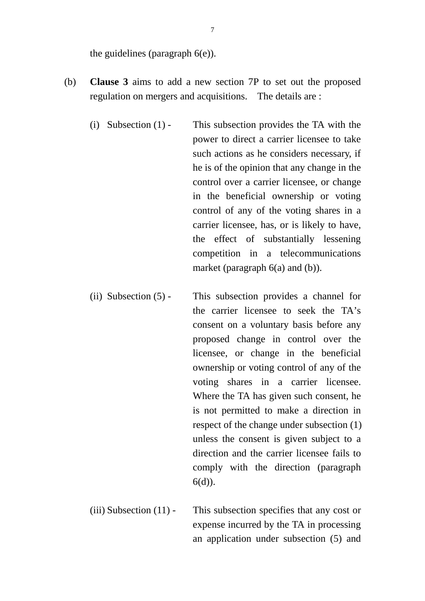the guidelines (paragraph 6(e)).

- (b) **Clause 3** aims to add a new section 7P to set out the proposed regulation on mergers and acquisitions. The details are :
	- (i) Subsection (1) This subsection provides the TA with the power to direct a carrier licensee to take such actions as he considers necessary, if he is of the opinion that any change in the control over a carrier licensee, or change in the beneficial ownership or voting control of any of the voting shares in a carrier licensee, has, or is likely to have, the effect of substantially lessening competition in a telecommunications market (paragraph 6(a) and (b)).
	- (ii) Subsection (5) This subsection provides a channel for the carrier licensee to seek the TA's consent on a voluntary basis before any proposed change in control over the licensee, or change in the beneficial ownership or voting control of any of the voting shares in a carrier licensee. Where the TA has given such consent, he is not permitted to make a direction in respect of the change under subsection (1) unless the consent is given subject to a direction and the carrier licensee fails to comply with the direction (paragraph  $6(d)$ ).
	- (iii) Subsection (11) This subsection specifies that any cost or expense incurred by the TA in processing an application under subsection (5) and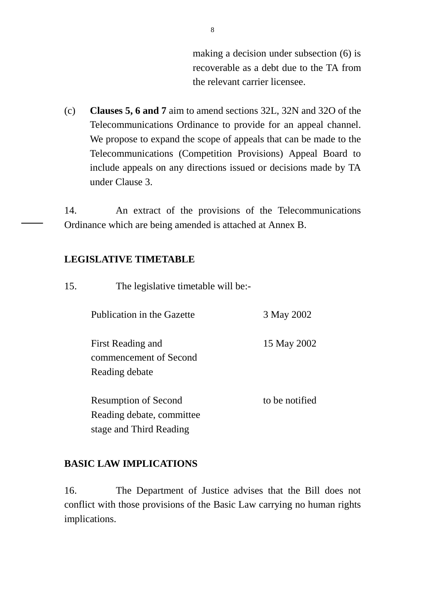making a decision under subsection (6) is recoverable as a debt due to the TA from the relevant carrier licensee.

(c) **Clauses 5, 6 and 7** aim to amend sections 32L, 32N and 32O of the Telecommunications Ordinance to provide for an appeal channel. We propose to expand the scope of appeals that can be made to the Telecommunications (Competition Provisions) Appeal Board to include appeals on any directions issued or decisions made by TA under Clause 3.

14. An extract of the provisions of the Telecommunications Ordinance which are being amended is attached at Annex B.

### **LEGISLATIVE TIMETABLE**

15. The legislative timetable will be:-

Publication in the Gazette 3 May 2002

First Reading and commencement of Second Reading debate

Resumption of Second Reading debate, committee stage and Third Reading

to be notified

15 May 2002

### **BASIC LAW IMPLICATIONS**

16. The Department of Justice advises that the Bill does not conflict with those provisions of the Basic Law carrying no human rights implications.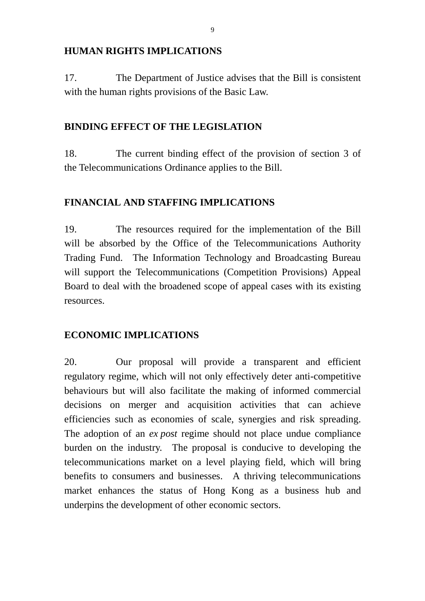### **HUMAN RIGHTS IMPLICATIONS**

17. The Department of Justice advises that the Bill is consistent with the human rights provisions of the Basic Law.

## **BINDING EFFECT OF THE LEGISLATION**

18. The current binding effect of the provision of section 3 of the Telecommunications Ordinance applies to the Bill.

## **FINANCIAL AND STAFFING IMPLICATIONS**

19. The resources required for the implementation of the Bill will be absorbed by the Office of the Telecommunications Authority Trading Fund. The Information Technology and Broadcasting Bureau will support the Telecommunications (Competition Provisions) Appeal Board to deal with the broadened scope of appeal cases with its existing resources.

## **ECONOMIC IMPLICATIONS**

20. Our proposal will provide a transparent and efficient regulatory regime, which will not only effectively deter anti-competitive behaviours but will also facilitate the making of informed commercial decisions on merger and acquisition activities that can achieve efficiencies such as economies of scale, synergies and risk spreading. The adoption of an *ex post* regime should not place undue compliance burden on the industry. The proposal is conducive to developing the telecommunications market on a level playing field, which will bring benefits to consumers and businesses. A thriving telecommunications market enhances the status of Hong Kong as a business hub and underpins the development of other economic sectors.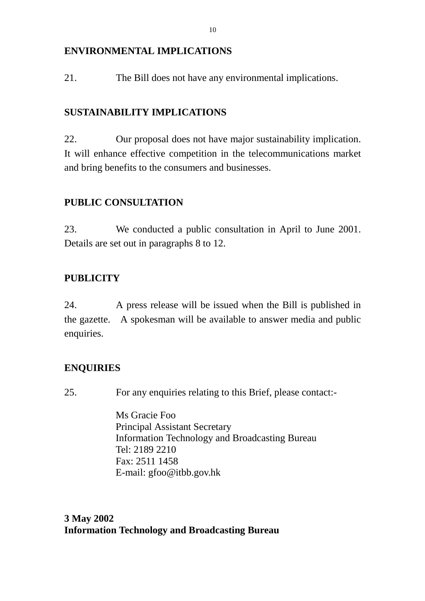## **ENVIRONMENTAL IMPLICATIONS**

21. The Bill does not have any environmental implications.

## **SUSTAINABILITY IMPLICATIONS**

22. Our proposal does not have major sustainability implication. It will enhance effective competition in the telecommunications market and bring benefits to the consumers and businesses.

## **PUBLIC CONSULTATION**

23. We conducted a public consultation in April to June 2001. Details are set out in paragraphs 8 to 12.

## **PUBLICITY**

24. A press release will be issued when the Bill is published in the gazette. A spokesman will be available to answer media and public enquiries.

## **ENQUIRIES**

25. For any enquiries relating to this Brief, please contact:-

Ms Gracie Foo Principal Assistant Secretary Information Technology and Broadcasting Bureau Tel: 2189 2210 Fax: 2511 1458 E-mail: gfoo@itbb.gov.hk

## **3 May 2002 Information Technology and Broadcasting Bureau**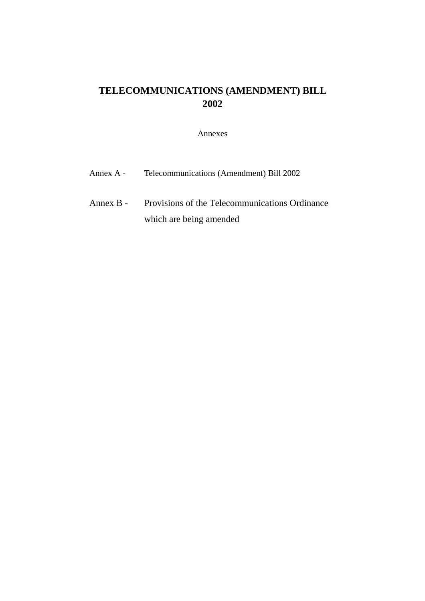## **TELECOMMUNICATIONS (AMENDMENT) BILL 2002**

#### Annexes

| Annex A - | Telecommunications (Amendment) Bill 2002 |
|-----------|------------------------------------------|
|           |                                          |

Annex B - Provisions of the Telecommunications Ordinance which are being amended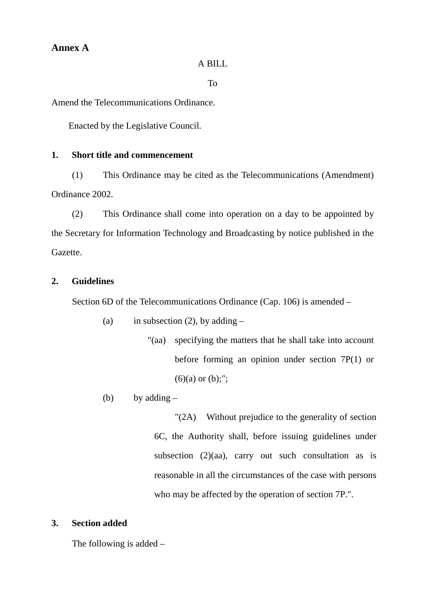### **Annex A**

#### A BILL

#### To

Amend the Telecommunications Ordinance.

Enacted by the Legislative Council.

#### **1. Short title and commencement**

(1) This Ordinance may be cited as the Telecommunications (Amendment) Ordinance 2002.

(2) This Ordinance shall come into operation on a day to be appointed by the Secretary for Information Technology and Broadcasting by notice published in the Gazette.

#### **2. Guidelines**

Section 6D of the Telecommunications Ordinance (Cap. 106) is amended –

- (a) in subsection (2), by adding  $-$ 
	- "(aa) specifying the matters that he shall take into account before forming an opinion under section 7P(1) or  $(6)(a)$  or  $(b)$ ;";
- (b) by adding  $-$

"(2A) Without prejudice to the generality of section 6C, the Authority shall, before issuing guidelines under subsection  $(2)(aa)$ , carry out such consultation as is reasonable in all the circumstances of the case with persons who may be affected by the operation of section 7P.".

#### **3. Section added**

The following is added –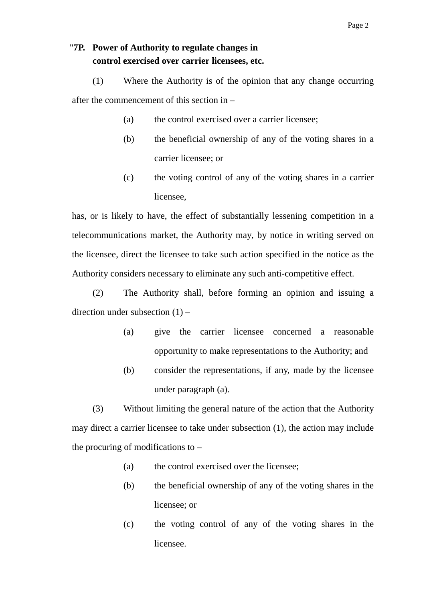## "**7P. Power of Authority to regulate changes in control exercised over carrier licensees, etc.**

(1) Where the Authority is of the opinion that any change occurring after the commencement of this section in –

- (a) the control exercised over a carrier licensee;
- (b) the beneficial ownership of any of the voting shares in a carrier licensee; or
- (c) the voting control of any of the voting shares in a carrier licensee,

has, or is likely to have, the effect of substantially lessening competition in a telecommunications market, the Authority may, by notice in writing served on the licensee, direct the licensee to take such action specified in the notice as the Authority considers necessary to eliminate any such anti-competitive effect.

(2) The Authority shall, before forming an opinion and issuing a direction under subsection (1) –

- (a) give the carrier licensee concerned a reasonable opportunity to make representations to the Authority; and
- (b) consider the representations, if any, made by the licensee under paragraph (a).

(3) Without limiting the general nature of the action that the Authority may direct a carrier licensee to take under subsection (1), the action may include the procuring of modifications to  $-$ 

- (a) the control exercised over the licensee;
- (b) the beneficial ownership of any of the voting shares in the licensee; or
- (c) the voting control of any of the voting shares in the licensee.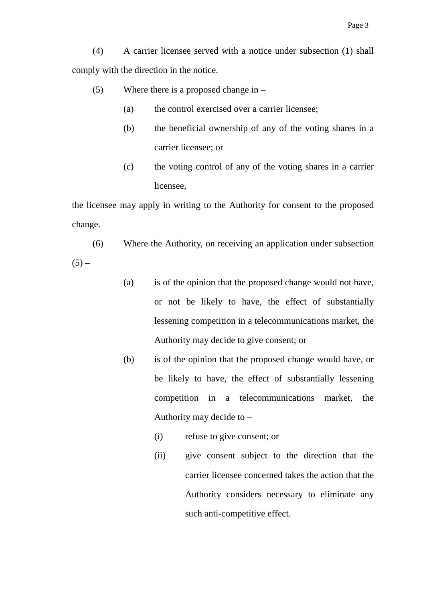(4) A carrier licensee served with a notice under subsection (1) shall comply with the direction in the notice.

- (5) Where there is a proposed change in
	- (a) the control exercised over a carrier licensee;
	- (b) the beneficial ownership of any of the voting shares in a carrier licensee; or
	- (c) the voting control of any of the voting shares in a carrier licensee,

the licensee may apply in writing to the Authority for consent to the proposed change.

- (6) Where the Authority, on receiving an application under subsection  $(5) -$ 
	- (a) is of the opinion that the proposed change would not have, or not be likely to have, the effect of substantially lessening competition in a telecommunications market, the Authority may decide to give consent; or
	- (b) is of the opinion that the proposed change would have, or be likely to have, the effect of substantially lessening competition in a telecommunications market, the Authority may decide to –
		- (i) refuse to give consent; or
		- (ii) give consent subject to the direction that the carrier licensee concerned takes the action that the Authority considers necessary to eliminate any such anti-competitive effect.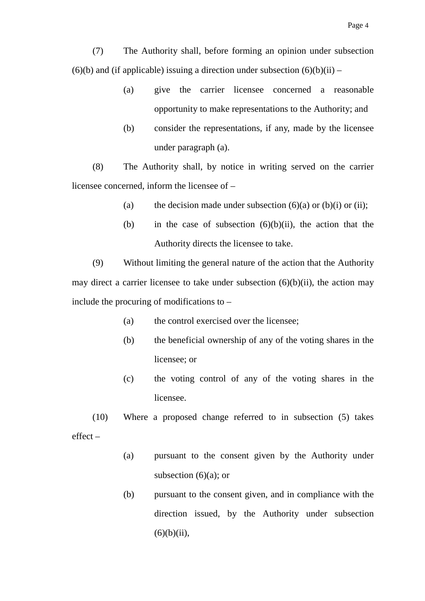Page 4

(7) The Authority shall, before forming an opinion under subsection  $(6)(b)$  and (if applicable) issuing a direction under subsection  $(6)(b)(ii)$  –

- (a) give the carrier licensee concerned a reasonable opportunity to make representations to the Authority; and
- (b) consider the representations, if any, made by the licensee under paragraph (a).

(8) The Authority shall, by notice in writing served on the carrier licensee concerned, inform the licensee of –

- (a) the decision made under subsection  $(6)(a)$  or  $(b)(i)$  or  $(ii)$ ;
- (b) in the case of subsection  $(6)(b)(ii)$ , the action that the Authority directs the licensee to take.

(9) Without limiting the general nature of the action that the Authority may direct a carrier licensee to take under subsection  $(6)(b)(ii)$ , the action may include the procuring of modifications to –

- (a) the control exercised over the licensee;
- (b) the beneficial ownership of any of the voting shares in the licensee; or
- (c) the voting control of any of the voting shares in the licensee.

(10) Where a proposed change referred to in subsection (5) takes effect –

- (a) pursuant to the consent given by the Authority under subsection  $(6)(a)$ ; or
- (b) pursuant to the consent given, and in compliance with the direction issued, by the Authority under subsection  $(6)(b)(ii)$ ,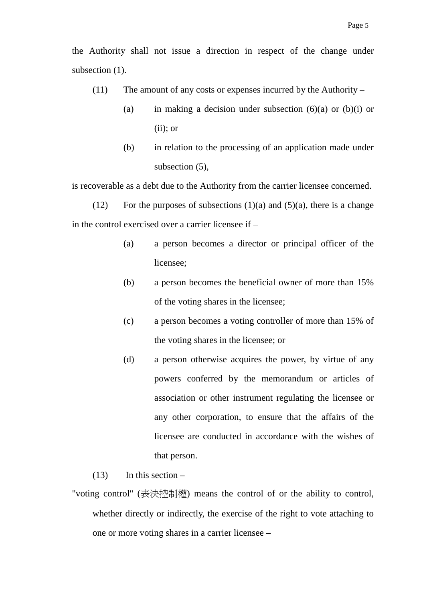- (11) The amount of any costs or expenses incurred by the Authority
	- (a) in making a decision under subsection  $(6)(a)$  or  $(b)(i)$  or  $(ii)$ ; or
	- (b) in relation to the processing of an application made under subsection (5),

is recoverable as a debt due to the Authority from the carrier licensee concerned.

(12) For the purposes of subsections  $(1)(a)$  and  $(5)(a)$ , there is a change in the control exercised over a carrier licensee if –

- (a) a person becomes a director or principal officer of the licensee;
- (b) a person becomes the beneficial owner of more than 15% of the voting shares in the licensee;
- (c) a person becomes a voting controller of more than 15% of the voting shares in the licensee; or
- (d) a person otherwise acquires the power, by virtue of any powers conferred by the memorandum or articles of association or other instrument regulating the licensee or any other corporation, to ensure that the affairs of the licensee are conducted in accordance with the wishes of that person.
- $(13)$  In this section –
- "voting control" (表決控制權) means the control of or the ability to control, whether directly or indirectly, the exercise of the right to vote attaching to one or more voting shares in a carrier licensee –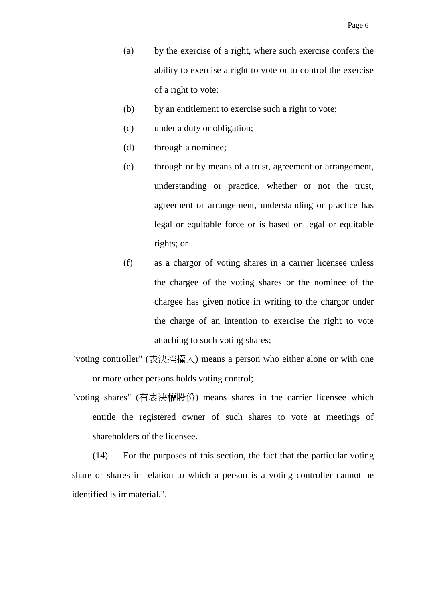- (a) by the exercise of a right, where such exercise confers the ability to exercise a right to vote or to control the exercise of a right to vote;
- (b) by an entitlement to exercise such a right to vote;
- (c) under a duty or obligation;
- (d) through a nominee;
- (e) through or by means of a trust, agreement or arrangement, understanding or practice, whether or not the trust, agreement or arrangement, understanding or practice has legal or equitable force or is based on legal or equitable rights; or
- (f) as a chargor of voting shares in a carrier licensee unless the chargee of the voting shares or the nominee of the chargee has given notice in writing to the chargor under the charge of an intention to exercise the right to vote attaching to such voting shares;
- "voting controller" (表決控權人) means a person who either alone or with one or more other persons holds voting control;
- "voting shares" (有表決權股份) means shares in the carrier licensee which entitle the registered owner of such shares to vote at meetings of shareholders of the licensee.

(14) For the purposes of this section, the fact that the particular voting share or shares in relation to which a person is a voting controller cannot be identified is immaterial.".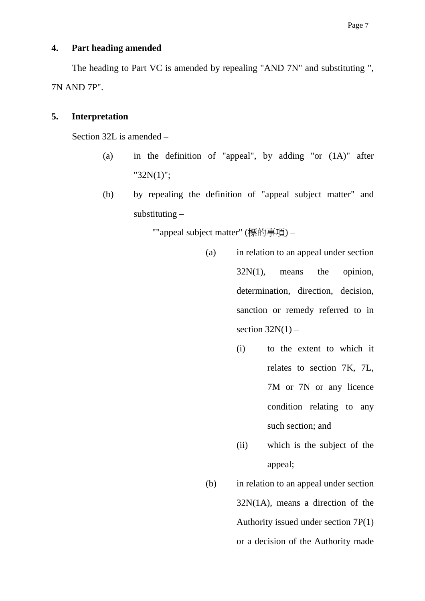### **4. Part heading amended**

The heading to Part VC is amended by repealing "AND 7N" and substituting ", 7N AND 7P".

### **5. Interpretation**

Section 32L is amended –

- (a) in the definition of "appeal", by adding "or (1A)" after "32N(1)";
- (b) by repealing the definition of "appeal subject matter" and substituting –

""appeal subject matter" (標的事項) –

- (a) in relation to an appeal under section  $32N(1)$ , means the opinion, determination, direction, decision, sanction or remedy referred to in section  $32N(1)$  –
	- (i) to the extent to which it relates to section 7K, 7L, 7M or 7N or any licence condition relating to any such section; and
	- (ii) which is the subject of the appeal;
- (b) in relation to an appeal under section 32N(1A), means a direction of the Authority issued under section 7P(1) or a decision of the Authority made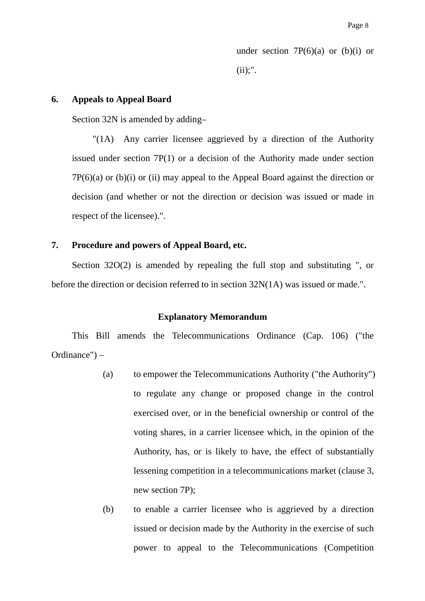under section  $7P(6)(a)$  or  $(b)(i)$  or  $(ii):$ ".

#### **6. Appeals to Appeal Board**

Section 32N is amended by adding–

"(1A) Any carrier licensee aggrieved by a direction of the Authority issued under section 7P(1) or a decision of the Authority made under section  $7P(6)(a)$  or (b)(i) or (ii) may appeal to the Appeal Board against the direction or decision (and whether or not the direction or decision was issued or made in respect of the licensee).".

#### **7. Procedure and powers of Appeal Board, etc.**

Section 32O(2) is amended by repealing the full stop and substituting ", or before the direction or decision referred to in section 32N(1A) was issued or made.".

#### **Explanatory Memorandum**

This Bill amends the Telecommunications Ordinance (Cap. 106) ("the Ordinance") –

- (a) to empower the Telecommunications Authority ("the Authority") to regulate any change or proposed change in the control exercised over, or in the beneficial ownership or control of the voting shares, in a carrier licensee which, in the opinion of the Authority, has, or is likely to have, the effect of substantially lessening competition in a telecommunications market (clause 3, new section 7P);
- (b) to enable a carrier licensee who is aggrieved by a direction issued or decision made by the Authority in the exercise of such power to appeal to the Telecommunications (Competition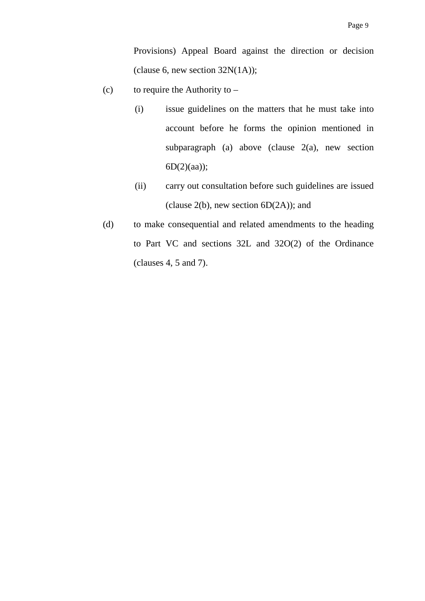Provisions) Appeal Board against the direction or decision (clause 6, new section  $32N(1A)$ );

- (c) to require the Authority to  $-$ 
	- (i) issue guidelines on the matters that he must take into account before he forms the opinion mentioned in subparagraph (a) above (clause 2(a), new section  $6D(2)(aa);$
	- (ii) carry out consultation before such guidelines are issued (clause  $2(b)$ , new section  $6D(2A)$ ); and
- (d) to make consequential and related amendments to the heading to Part VC and sections 32L and 32O(2) of the Ordinance (clauses 4, 5 and 7).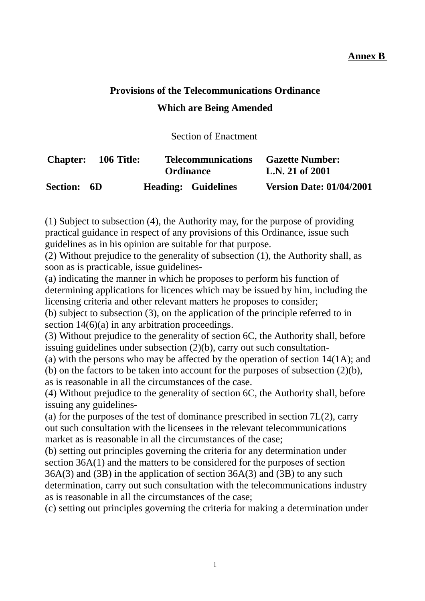### **Annex B**

# **Provisions of the Telecommunications Ordinance Which are Being Amended**

Section of Enactment

| <b>Chapter:</b> 106 Title: |  | <b>Telecommunications</b><br><b>Ordinance</b> | <b>Gazette Number:</b><br>L.N. 21 of 2001 |  |
|----------------------------|--|-----------------------------------------------|-------------------------------------------|--|
| Section: 6D                |  | <b>Heading: Guidelines</b>                    | <b>Version Date: 01/04/2001</b>           |  |

(1) Subject to subsection (4), the Authority may, for the purpose of providing practical guidance in respect of any provisions of this Ordinance, issue such guidelines as in his opinion are suitable for that purpose.

(2) Without prejudice to the generality of subsection (1), the Authority shall, as soon as is practicable, issue guidelines-

(a) indicating the manner in which he proposes to perform his function of determining applications for licences which may be issued by him, including the licensing criteria and other relevant matters he proposes to consider;

(b) subject to subsection (3), on the application of the principle referred to in section 14(6)(a) in any arbitration proceedings.

(3) Without prejudice to the generality of section 6C, the Authority shall, before issuing guidelines under subsection (2)(b), carry out such consultation-

(a) with the persons who may be affected by the operation of section 14(1A); and (b) on the factors to be taken into account for the purposes of subsection (2)(b), as is reasonable in all the circumstances of the case.

(4) Without prejudice to the generality of section 6C, the Authority shall, before issuing any guidelines-

(a) for the purposes of the test of dominance prescribed in section  $7L(2)$ , carry out such consultation with the licensees in the relevant telecommunications market as is reasonable in all the circumstances of the case;

(b) setting out principles governing the criteria for any determination under section 36A(1) and the matters to be considered for the purposes of section 36A(3) and (3B) in the application of section 36A(3) and (3B) to any such determination, carry out such consultation with the telecommunications industry as is reasonable in all the circumstances of the case;

(c) setting out principles governing the criteria for making a determination under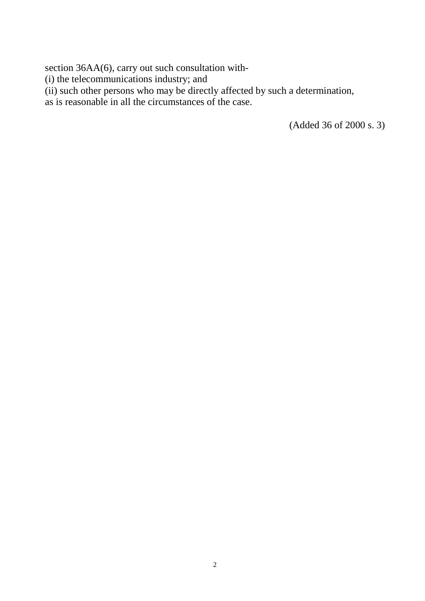section 36AA(6), carry out such consultation with-

(i) the telecommunications industry; and

(ii) such other persons who may be directly affected by such a determination,

as is reasonable in all the circumstances of the case.

(Added 36 of 2000 s. 3)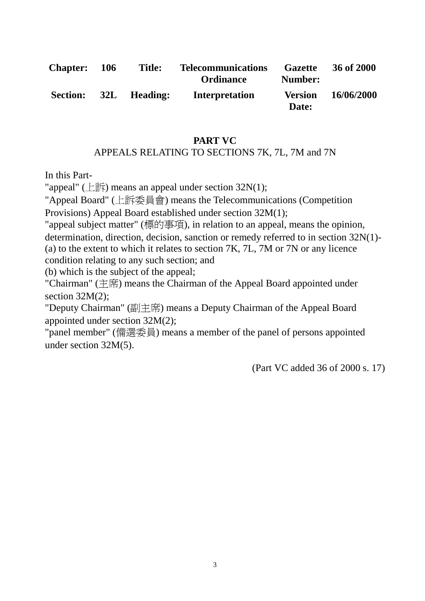| <b>Chapter:</b> | 106 | <b>Title:</b> | <b>Telecommunications</b><br><b>Ordinance</b> | <b>Gazette</b><br>Number: | 36 of 2000 |
|-----------------|-----|---------------|-----------------------------------------------|---------------------------|------------|
| <b>Section:</b> |     | 32L Heading:  | <b>Interpretation</b>                         | <b>Version</b><br>Date:   | 16/06/2000 |

### **PART VC** APPEALS RELATING TO SECTIONS 7K, 7L, 7M and 7N

In this Part-

"appeal" ( $E$   $\hat{F}$ ) means an appeal under section 32N(1);

"Appeal Board" (㆖訴委員會) means the Telecommunications (Competition Provisions) Appeal Board established under section 32M(1);

"appeal subject matter" (標的事項), in relation to an appeal, means the opinion, determination, direction, decision, sanction or remedy referred to in section 32N(1)- (a) to the extent to which it relates to section 7K, 7L, 7M or 7N or any licence condition relating to any such section; and

(b) which is the subject of the appeal;

"Chairman" (主席) means the Chairman of the Appeal Board appointed under section  $32M(2)$ :

"Deputy Chairman" (副主席) means a Deputy Chairman of the Appeal Board appointed under section 32M(2);

"panel member" (備選委員) means a member of the panel of persons appointed under section 32M(5).

(Part VC added 36 of 2000 s. 17)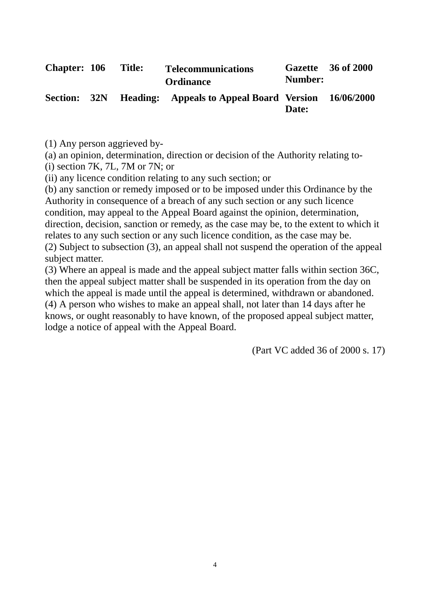| <b>Chapter: 106</b> | <b>Title:</b> | <b>Telecommunications</b><br><b>Ordinance</b>         | Number: | Gazette 36 of 2000 |
|---------------------|---------------|-------------------------------------------------------|---------|--------------------|
|                     |               | Section: 32N Heading: Appeals to Appeal Board Version | Date:   | 16/06/2000         |

(1) Any person aggrieved by-

(a) an opinion, determination, direction or decision of the Authority relating to-

(i) section 7K, 7L, 7M or 7N; or

(ii) any licence condition relating to any such section; or

(b) any sanction or remedy imposed or to be imposed under this Ordinance by the Authority in consequence of a breach of any such section or any such licence condition, may appeal to the Appeal Board against the opinion, determination, direction, decision, sanction or remedy, as the case may be, to the extent to which it relates to any such section or any such licence condition, as the case may be. (2) Subject to subsection (3), an appeal shall not suspend the operation of the appeal subject matter.

(3) Where an appeal is made and the appeal subject matter falls within section 36C, then the appeal subject matter shall be suspended in its operation from the day on which the appeal is made until the appeal is determined, withdrawn or abandoned. (4) A person who wishes to make an appeal shall, not later than 14 days after he knows, or ought reasonably to have known, of the proposed appeal subject matter, lodge a notice of appeal with the Appeal Board.

(Part VC added 36 of 2000 s. 17)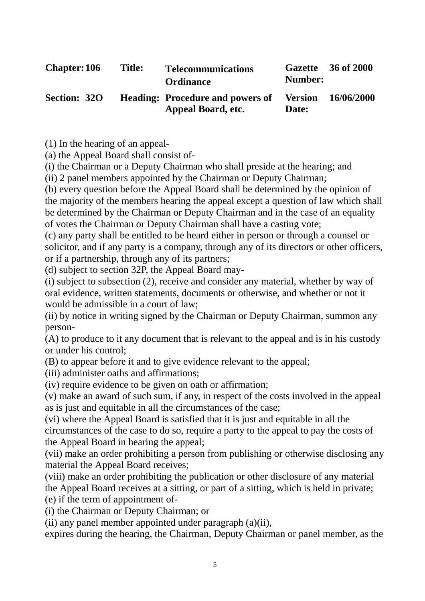| <b>Chapter: 106</b> | <b>Title:</b> | <b>Telecommunications</b><br><b>Ordinance</b>                 | Number:                 | Gazette 36 of 2000 |
|---------------------|---------------|---------------------------------------------------------------|-------------------------|--------------------|
| <b>Section: 320</b> |               | <b>Heading: Procedure and powers of</b><br>Appeal Board, etc. | <b>Version</b><br>Date: | 16/06/2000         |

(1) In the hearing of an appeal-

(a) the Appeal Board shall consist of-

(i) the Chairman or a Deputy Chairman who shall preside at the hearing; and

(ii) 2 panel members appointed by the Chairman or Deputy Chairman;

(b) every question before the Appeal Board shall be determined by the opinion of the majority of the members hearing the appeal except a question of law which shall be determined by the Chairman or Deputy Chairman and in the case of an equality of votes the Chairman or Deputy Chairman shall have a casting vote;

(c) any party shall be entitled to be heard either in person or through a counsel or solicitor, and if any party is a company, through any of its directors or other officers, or if a partnership, through any of its partners;

(d) subject to section 32P, the Appeal Board may-

(i) subject to subsection (2), receive and consider any material, whether by way of oral evidence, written statements, documents or otherwise, and whether or not it would be admissible in a court of law;

(ii) by notice in writing signed by the Chairman or Deputy Chairman, summon any person-

(A) to produce to it any document that is relevant to the appeal and is in his custody or under his control;

(B) to appear before it and to give evidence relevant to the appeal;

(iii) administer oaths and affirmations;

(iv) require evidence to be given on oath or affirmation;

(v) make an award of such sum, if any, in respect of the costs involved in the appeal as is just and equitable in all the circumstances of the case;

(vi) where the Appeal Board is satisfied that it is just and equitable in all the circumstances of the case to do so, require a party to the appeal to pay the costs of the Appeal Board in hearing the appeal;

(vii) make an order prohibiting a person from publishing or otherwise disclosing any material the Appeal Board receives;

(viii) make an order prohibiting the publication or other disclosure of any material the Appeal Board receives at a sitting, or part of a sitting, which is held in private; (e) if the term of appointment of-

(i) the Chairman or Deputy Chairman; or

(ii) any panel member appointed under paragraph (a)(ii),

expires during the hearing, the Chairman, Deputy Chairman or panel member, as the